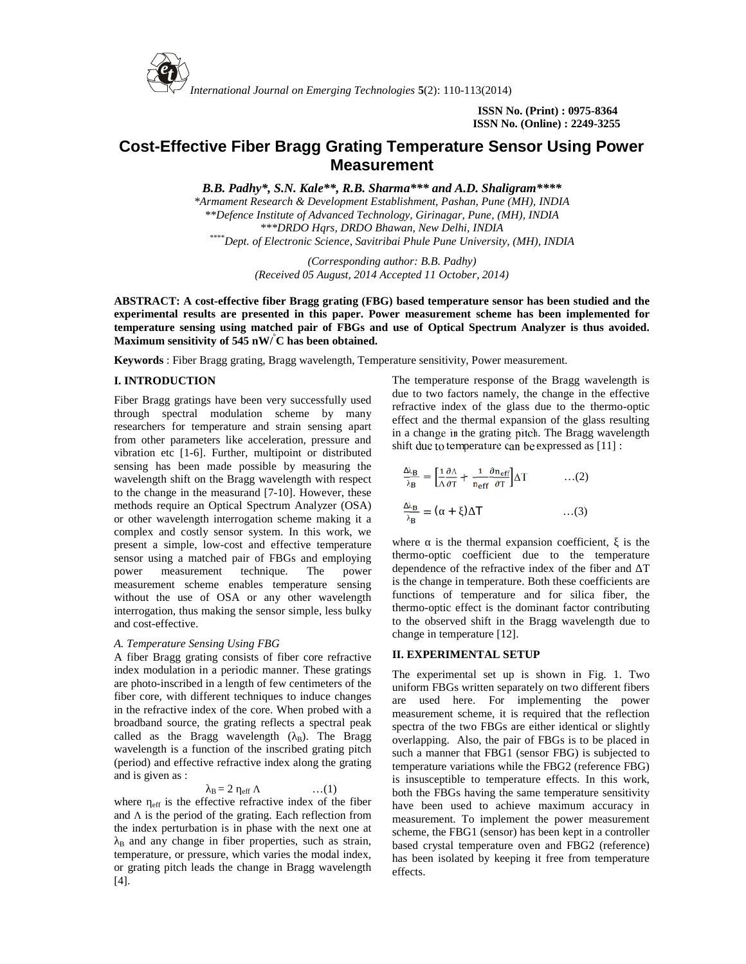

**ISSN No. (Print) : 0975-8364 ISSN No. (Online) : 2249-3255**

# **Cost-Effective Fiber Bragg Grating Temperature Sensor Using Power Measurement**

*B.B. Padhy\*, S.N. Kale\*\*, R.B. Sharma\*\*\* and A.D. Shaligram\*\*\*\**

*\*Armament Research & Development Establishment, Pashan, Pune (MH), INDIA \*\*Defence Institute of Advanced Technology, Girinagar, Pune, (MH), INDIA \*\*\*DRDO Hqrs, DRDO Bhawan, New Delhi, INDIA \*\*\*\*Dept. of Electronic Science, Savitribai Phule Pune University, (MH), INDIA*

> *(Corresponding author: B.B. Padhy) (Received 05 August, 2014 Accepted 11 October, 2014)*

**ABSTRACT: A cost-effective fiber Bragg grating (FBG) based temperature sensor has been studied and the experimental results are presented in this paper. Power measurement scheme has been implemented for temperature sensing using matched pair of FBGs and use of Optical Spectrum Analyzer is thus avoided. Maximum sensitivity of 545 nW/°C has been obtained.**

**Keywords** : Fiber Bragg grating, Bragg wavelength, Temperature sensitivity, Power measurement.

# **I. INTRODUCTION**

Fiber Bragg gratings have been very successfully used through spectral modulation scheme by many researchers for temperature and strain sensing apart from other parameters like acceleration, pressure and vibration etc [1-6]. Further, multipoint or distributed sensing has been made possible by measuring the wavelength shift on the Bragg wavelength with respect to the change in the measurand [7-10]. However, these methods require an Optical Spectrum Analyzer (OSA) or other wavelength interrogation scheme making it a complex and costly sensor system. In this work, we<br>present a simple low-cost and effective temperature where present a simple, low-cost and effective temperature sensor using a matched pair of FBGs and employing power measurement technique. The power measurement scheme enables temperature sensing without the use of OSA or any other wavelength interrogation, thus making the sensor simple, less bulky and cost-effective.

#### *A. Temperature Sensing Using FBG*

A fiber Bragg grating consists of fiber core refractive index modulation in a periodic manner. These gratings are photo-inscribed in a length of few centimeters of the fiber core, with different techniques to induce changes in the refractive index of the core. When probed with a broadband source, the grating reflects a spectral peak called as the Bragg wavelength  $($ <sub>B</sub>). The Bragg wavelength is a function of the inscribed grating pitch (period) and effective refractive index along the grating and is given as :

$$
B = 2 \quad \text{eff} \qquad \qquad \dots (1)
$$

where  $_{\text{eff}}$  is the effective refractive index of the fiber and is the period of the grating. Each reflection from the index perturbation is in phase with the next one at  $B<sub>B</sub>$  and any change in fiber properties, such as strain, temperature, or pressure, which varies the modal index, or grating pitch leads the change in Bragg wavelength [4].

The temperature response of the Bragg wavelength is due to two factors namely, the change in the effective refractive index of the glass due to the thermo-optic effect and the thermal expansion of the glass resulting in a change in the grating pitch. The Bragg wavelength shift due to temperature can be expressed as [11] :

$$
\frac{\lambda_{\rm B}}{\lambda_{\rm B}} = \left[ \frac{1}{\Lambda} \frac{\partial \Lambda}{\partial T} + \frac{1}{n_{\rm eff}} \frac{\partial n_{\rm eff}}{\partial T} \right] \Delta T \qquad \qquad \dots (2)
$$
  

$$
\frac{\lambda_{\rm B}}{n} = (- + ) \quad T \qquad \qquad \dots (3)
$$

is the thermal expansion coefficient, is the thermo-optic coefficient due to the temperature dependence of the refractive index of the fiber and T is the change in temperature. Both these coefficients are functions of temperature and for silica fiber, the thermo-optic effect is the dominant factor contributing to the observed shift in the Bragg wavelength due to change in temperature [12].

### **II. EXPERIMENTAL SETUP**

The experimental set up is shown in Fig. 1. Two uniform FBGs written separately on two different fibers are used here. For implementing the power measurement scheme, it is required that the reflection spectra of the two FBGs are either identical or slightly overlapping. Also, the pair of FBGs is to be placed in such a manner that FBG1 (sensor FBG) is subjected to temperature variations while the FBG2 (reference FBG) is insusceptible to temperature effects. In this work, both the FBGs having the same temperature sensitivity have been used to achieve maximum accuracy in measurement. To implement the power measurement scheme, the FBG1 (sensor) has been kept in a controller based crystal temperature oven and FBG2 (reference) has been isolated by keeping it free from temperature effects.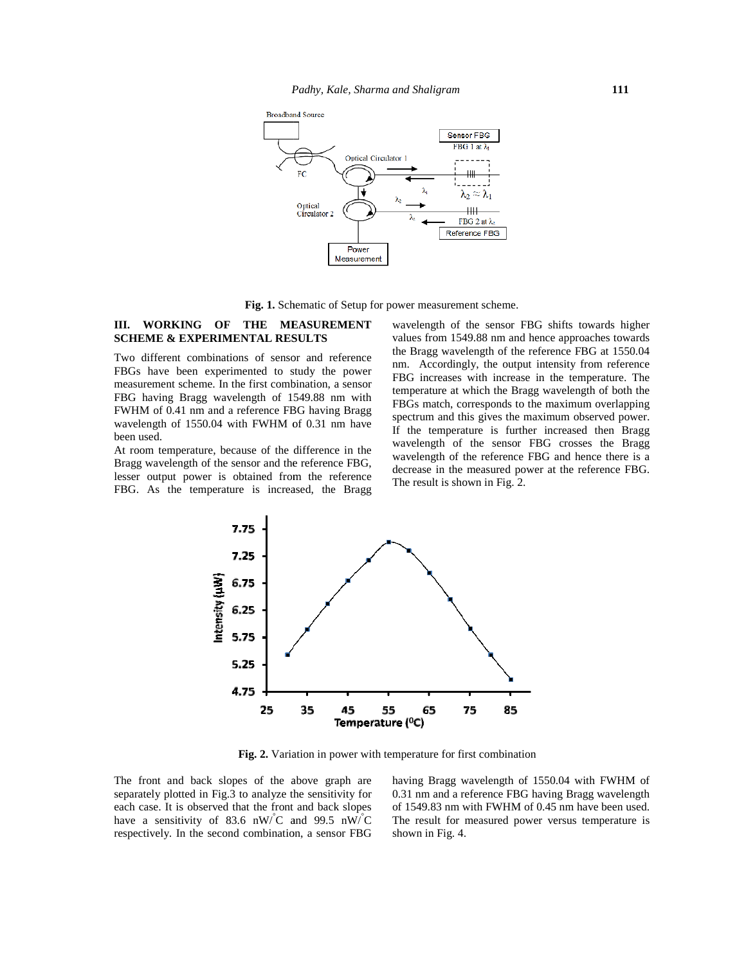

**Fig. 1.** Schematic of Setup for power measurement scheme.

## **III. WORKING OF THE MEASUREMENT SCHEME & EXPERIMENTAL RESULTS**

Two different combinations of sensor and reference FBGs have been experimented to study the power measurement scheme. In the first combination, a sensor FBG having Bragg wavelength of 1549.88 nm with  $\frac{mnp}{EBC}$ FWHM of 0.41 nm and a reference FBG having Bragg wavelength of 1550.04 with FWHM of 0.31 nm have been used. lifferent combinations of sensor and reference<br>have been experimented to study the power<br>rement scheme. In the first combination, a sensor<br>naving Bragg wavelength of 1549.88 nm with<br> $\Lambda$  of 0.41 nm and a reference FBG havi measurement scheme. In the first combin<br>FBG having Bragg wavelength of 154<br>FWHM of 0.41 nm and a reference FBG<br>wavelength of 1550.04 with FWHM of<br>been used.

At room temperature, because of the difference in the Bragg wavelength of the sensor and the reference FBG, lesser output power is obtained from the reference FBG. As the temperature is increased, the Bragg

wavelength of the sensor FBG shifts towards higher values from 1549.88 nm and hence approaches towards the Bragg wavelength of the reference FBG at 1550.04 nm. Accordingly, the output intensity from reference FBG increases with increase in the temperature. The temperature at which the Bragg wavelength of both the FBGs match, corresponds to the maximum overlapping spectrum and this gives the maximum observed power. If the temperature is further increased then Bragg wavelength of the sensor FBG crosses the Bragg wavelength of the reference FBG and hence there is a decrease in the measured power at the reference FBG. The result is shown in Fig. 2. **III. WORKING OF THE MEASUREMENT** wavelength of the sensor FBG shifts towards ISCHEME & EXPERIMENTAL RESULTS values from 1549.88 mm and hence approaches to the Bragg wavelength of the reference FBG at 15 mm in Accordingly



**Fig. 2.** Variation in power with temperature for first combination **Fig.**

The front and back slopes of the above graph are separately plotted in Fig.3 to analyze the sensitivity for 0. each case. It is observed that the front and back slopes have a sensitivity of 83.6 nW/ $\rm ^{1}C$  and 99.5 nW/ $\rm ^{1}C$ respectively. In the second combination, a sensor FBG The front and back slopes of the above graph are having Bragg wavelength of 1550.04 with FWHM c separately plotted in Fig.3 to analyze the sensitivity for 0.31 nm and a reference FBG having Bragg wavelengt each case. It i

having Bragg wavelength of 1550.04 with FWHM of 0.31 nm and a reference FBG having Bragg wavelength of 1549.83 nm with FWHM of 0.45 nm have been used. The result for measured power versus temperature is shown in Fig. 4.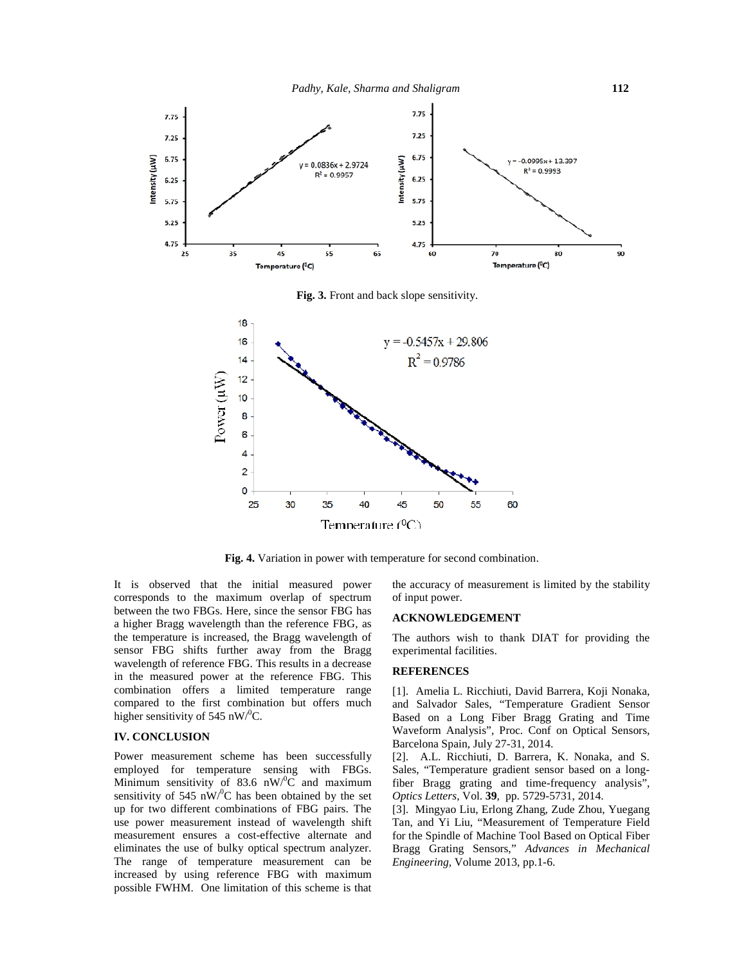

**Fig. 3.** Front and back slope sensitivity.



**Fig. 4.** Variation in power with temperature for second combination.

It is observed that the initial measured power corresponds to the maximum overlap of spectrum between the two FBGs. Here, since the sensor FBG has a higher Bragg wavelength than the reference FBG, as the temperature is increased, the Bragg wavelength of sensor FBG shifts further away from the Bragg wavelength of reference FBG. This results in a decrease in the measured power at the reference FBG. This combination offers a limited temperature range compared to the first combination but offers much higher sensitivity of 545 nW/<sup>0</sup>C.

# **IV. CONCLUSION**

Power measurement scheme has been successfully employed for temperature sensing with FBGs. Minimum sensitivity of 83.6  $nW$ <sup>o</sup>C and maximum sensitivity of 545 nW $\rm ^{10}C$  has been obtained by the set up for two different combinations of FBG pairs. The use power measurement instead of wavelength shift measurement ensures a cost-effective alternate and eliminates the use of bulky optical spectrum analyzer. The range of temperature measurement can be increased by using reference FBG with maximum possible FWHM. One limitation of this scheme is that

the accuracy of measurement is limited by the stability of input power.

#### **ACKNOWLEDGEMENT**

The authors wish to thank DIAT for providing the experimental facilities.

### **REFERENCES**

[1]. Amelia L. Ricchiuti, David Barrera, Koji Nonaka, and Salvador Sales, "Temperature Gradient Sensor Based on a Long Fiber Bragg Grating and Time Waveform Analysis", Proc. Conf on Optical Sensors, Barcelona Spain, July 27-31, 2014.

[2]. A.L. Ricchiuti, D. Barrera, K. Nonaka, and S. Sales, "Temperature gradient sensor based on a longfiber Bragg grating and time-frequency analysis", *Optics Letters*, Vol. **39**, pp. 5729-5731, 2014.

[3]. Mingyao Liu, Erlong Zhang, Zude Zhou, Yuegang Tan, and Yi Liu, "Measurement of Temperature Field for the Spindle of Machine Tool Based on Optical Fiber Bragg Grating Sensors," *Advances in Mechanical Engineering,* Volume 2013, pp.1-6.